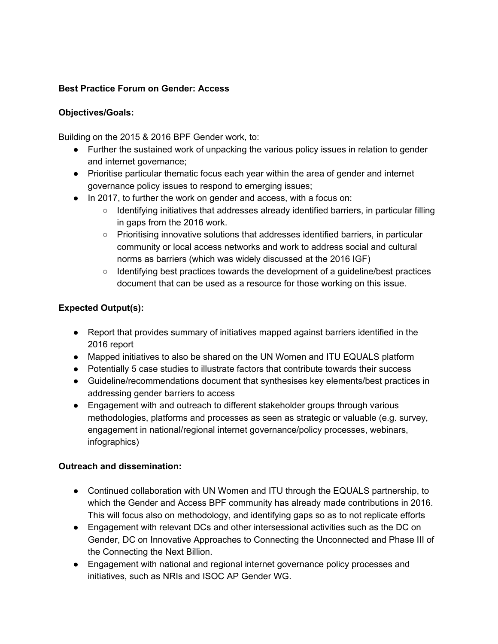#### **Best Practice Forum on Gender: Access**

#### **Objectives/Goals:**

Building on the 2015 & 2016 BPF Gender work, to:

- Further the sustained work of unpacking the various policy issues in relation to gender and internet governance;
- Prioritise particular thematic focus each year within the area of gender and internet governance policy issues to respond to emerging issues;
- In 2017, to further the work on gender and access, with a focus on:
	- Identifying initiatives that addresses already identified barriers, in particular filling in gaps from the 2016 work.
	- Prioritising innovative solutions that addresses identified barriers, in particular community or local access networks and work to address social and cultural norms as barriers (which was widely discussed at the 2016 IGF)
	- Identifying best practices towards the development of a guideline/best practices document that can be used as a resource for those working on this issue.

## **Expected Output(s):**

- Report that provides summary of initiatives mapped against barriers identified in the 2016 report
- Mapped initiatives to also be shared on the UN Women and ITU EQUALS platform
- Potentially 5 case studies to illustrate factors that contribute towards their success
- Guideline/recommendations document that synthesises key elements/best practices in addressing gender barriers to access
- Engagement with and outreach to different stakeholder groups through various methodologies, platforms and processes as seen as strategic or valuable (e.g. survey, engagement in national/regional internet governance/policy processes, webinars, infographics)

## **Outreach and dissemination:**

- Continued collaboration with UN Women and ITU through the EQUALS partnership, to which the Gender and Access BPF community has already made contributions in 2016. This will focus also on methodology, and identifying gaps so as to not replicate efforts
- Engagement with relevant DCs and other intersessional activities such as the DC on Gender, DC on Innovative Approaches to Connecting the Unconnected and Phase III of the Connecting the Next Billion.
- Engagement with national and regional internet governance policy processes and initiatives, such as NRIs and ISOC AP Gender WG.